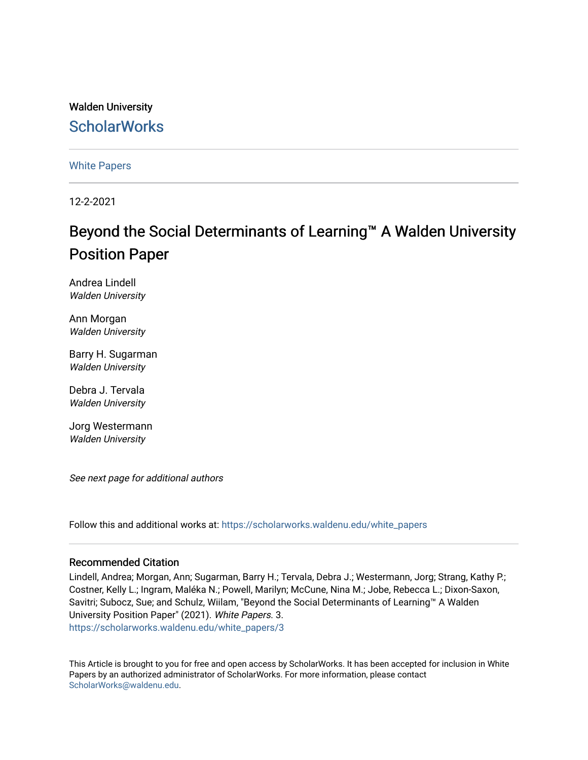### Walden University **ScholarWorks**

[White Papers](https://scholarworks.waldenu.edu/white_papers) 

12-2-2021

### Beyond the Social Determinants of Learning™ A Walden University Position Paper

Andrea Lindell Walden University

Ann Morgan Walden University

Barry H. Sugarman Walden University

Debra J. Tervala Walden University

Jorg Westermann Walden University

See next page for additional authors

Follow this and additional works at: [https://scholarworks.waldenu.edu/white\\_papers](https://scholarworks.waldenu.edu/white_papers?utm_source=scholarworks.waldenu.edu%2Fwhite_papers%2F3&utm_medium=PDF&utm_campaign=PDFCoverPages)

#### Recommended Citation

Lindell, Andrea; Morgan, Ann; Sugarman, Barry H.; Tervala, Debra J.; Westermann, Jorg; Strang, Kathy P.; Costner, Kelly L.; Ingram, Maléka N.; Powell, Marilyn; McCune, Nina M.; Jobe, Rebecca L.; Dixon-Saxon, Savitri; Subocz, Sue; and Schulz, Wiilam, "Beyond the Social Determinants of Learning™ A Walden University Position Paper" (2021). White Papers. 3. [https://scholarworks.waldenu.edu/white\\_papers/3](https://scholarworks.waldenu.edu/white_papers/3?utm_source=scholarworks.waldenu.edu%2Fwhite_papers%2F3&utm_medium=PDF&utm_campaign=PDFCoverPages) 

This Article is brought to you for free and open access by ScholarWorks. It has been accepted for inclusion in White Papers by an authorized administrator of ScholarWorks. For more information, please contact [ScholarWorks@waldenu.edu](mailto:ScholarWorks@waldenu.edu).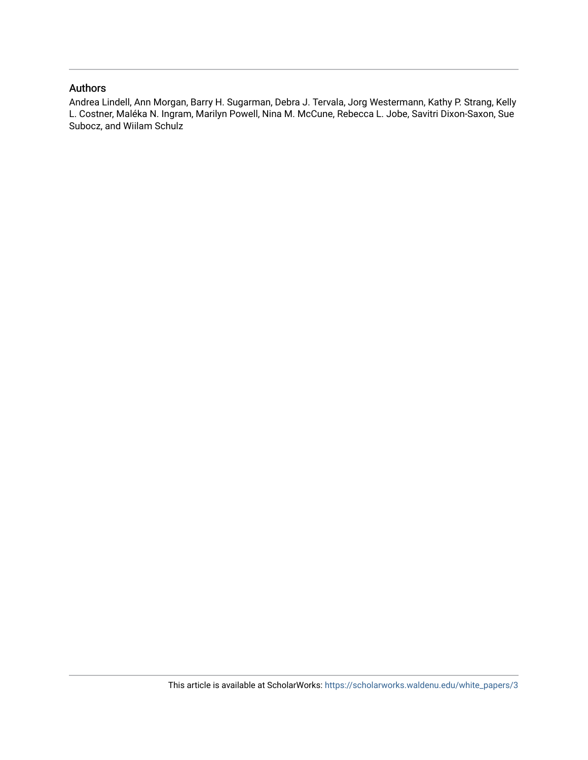#### Authors

Andrea Lindell, Ann Morgan, Barry H. Sugarman, Debra J. Tervala, Jorg Westermann, Kathy P. Strang, Kelly L. Costner, Maléka N. Ingram, Marilyn Powell, Nina M. McCune, Rebecca L. Jobe, Savitri Dixon-Saxon, Sue Subocz, and Wiilam Schulz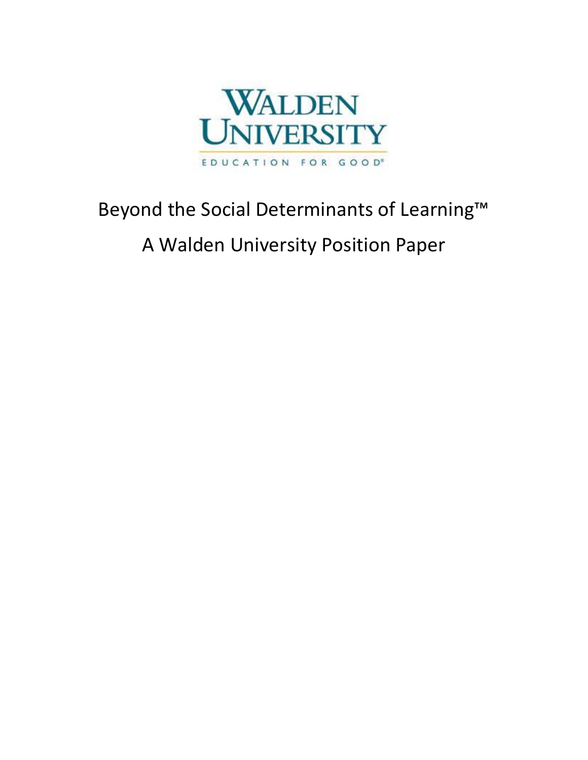

# Beyond the Social Determinants of Learning™

## A Walden University Position Paper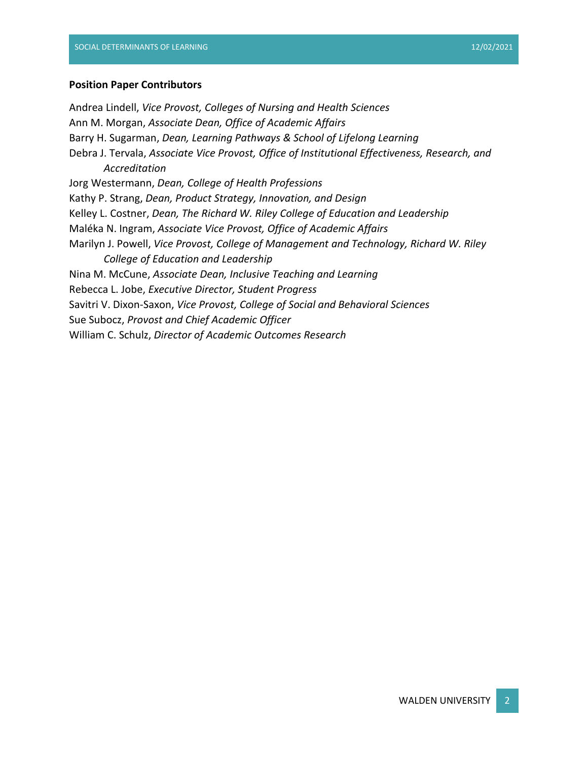#### **Position Paper Contributors**

Andrea Lindell, *Vice Provost, Colleges of Nursing and Health Sciences* Ann M. Morgan, *Associate Dean, Office of Academic Affairs* Barry H. Sugarman, *Dean, Learning Pathways & School of Lifelong Learning* Debra J. Tervala, *Associate Vice Provost, Office of Institutional Effectiveness, Research, and Accreditation* Jorg Westermann, *Dean, College of Health Professions* Kathy P. Strang, *Dean, Product Strategy, Innovation, and Design* Kelley L. Costner, *Dean, The Richard W. Riley College of Education and Leadership* Maléka N. Ingram, *Associate Vice Provost, Office of Academic Affairs* Marilyn J. Powell, *Vice Provost, College of Management and Technology, Richard W. Riley College of Education and Leadership* Nina M. McCune, *Associate Dean, Inclusive Teaching and Learning* Rebecca L. Jobe, *Executive Director, Student Progress* Savitri V. Dixon-Saxon, *Vice Provost, College of Social and Behavioral Sciences* Sue Subocz, *Provost and Chief Academic Officer* William C. Schulz, *Director of Academic Outcomes Research*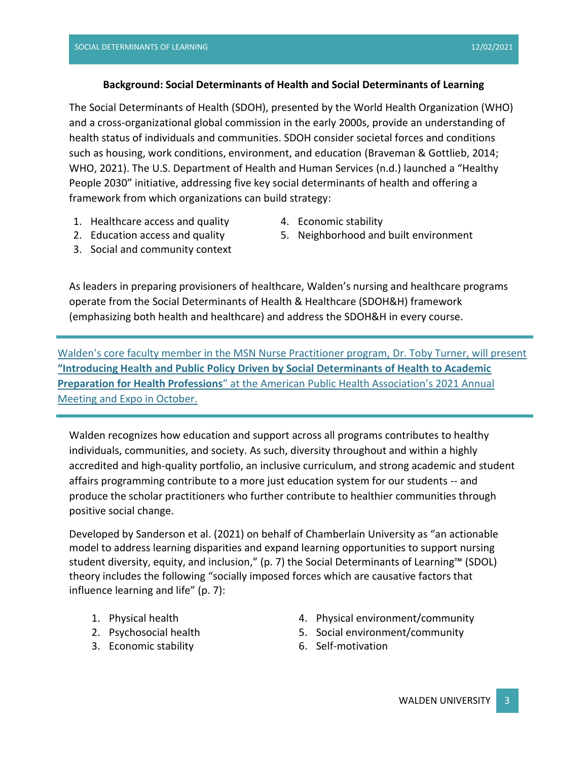#### **Background: Social Determinants of Health and Social Determinants of Learning**

The Social Determinants of Health (SDOH), presented by the World Health Organization (WHO) and a cross-organizational global commission in the early 2000s, provide an understanding of health status of individuals and communities. SDOH consider societal forces and conditions such as housing, work conditions, environment, and education (Braveman & Gottlieb, 2014; WHO, 2021). The U.S. Department of Health and Human Services (n.d.) launched a "Healthy People 2030" initiative, addressing five key social determinants of health and offering a framework from which organizations can build strategy:

- 1. Healthcare access and quality 2. Education access and quality
- 4. Economic stability
- 5. Neighborhood and built environment
- 3. Social and community context

As leaders in preparing provisioners of healthcare, Walden's nursing and healthcare programs operate from the Social Determinants of Health & Healthcare (SDOH&H) framework (emphasizing both health and healthcare) and address the SDOH&H in every course.

[Walden's core faculty member in the MSN Nurse Practitioner program,](https://laureatena.sharepoint.com/sites/WEP/SitePages/Faculty-Member-to-Present-on-Social-Determinants-of-Health.aspx) Dr. Toby Turner, will present **"Introd[ucing Health and Public Policy Driven by Social Determinants of Health to Academic](https://laureatena.sharepoint.com/sites/WEP/SitePages/Faculty-Member-to-Present-on-Social-Determinants-of-Health.aspx)  Preparation for Health Professions**[" at the American Public Health Association's 2021 Annual](https://laureatena.sharepoint.com/sites/WEP/SitePages/Faculty-Member-to-Present-on-Social-Determinants-of-Health.aspx)  [Meeting and Expo in October.](https://laureatena.sharepoint.com/sites/WEP/SitePages/Faculty-Member-to-Present-on-Social-Determinants-of-Health.aspx)

Walden recognizes how education and support across all programs contributes to healthy individuals, communities, and society. As such, diversity throughout and within a highly accredited and high-quality portfolio, an inclusive curriculum, and strong academic and student affairs programming contribute to a more just education system for our students -- and produce the scholar practitioners who further contribute to healthier communities through positive social change.

Developed by Sanderson et al. (2021) on behalf of Chamberlain University as "an actionable model to address learning disparities and expand learning opportunities to support nursing student diversity, equity, and inclusion," (p. 7) the Social Determinants of Learning™ (SDOL) theory includes the following "socially imposed forces which are causative factors that influence learning and life" (p. 7):

- 1. Physical health
- 2. Psychosocial health
- 3. Economic stability
- 4. Physical environment/community
- 5. Social environment/community
- 6. Self-motivation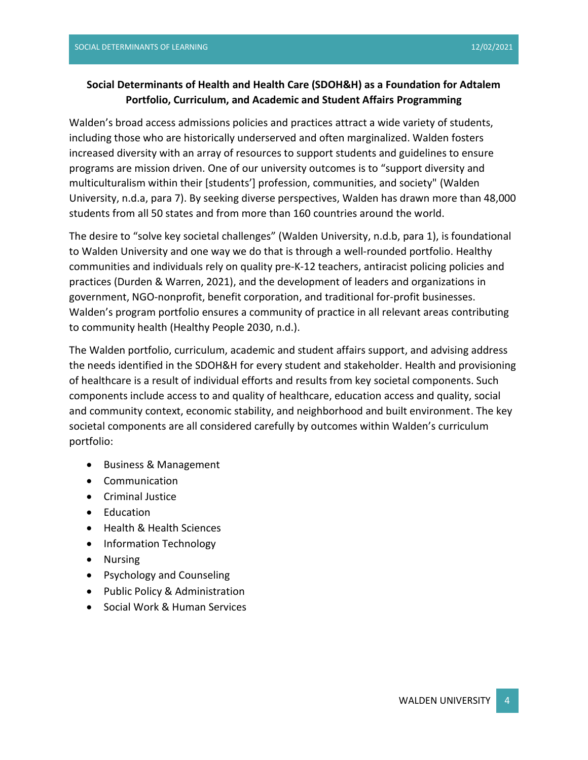#### **Social Determinants of Health and Health Care (SDOH&H) as a Foundation for Adtalem Portfolio, Curriculum, and Academic and Student Affairs Programming**

Walden's broad access admissions policies and practices attract a wide variety of students, including those who are historically underserved and often marginalized. Walden fosters increased diversity with an array of resources to support students and guidelines to ensure programs are mission driven. One of our university outcomes is to "support diversity and multiculturalism within their [students'] profession, communities, and society" (Walden University, n.d.a, para 7). By seeking diverse perspectives, Walden has drawn more than 48,000 students from all 50 states and from more than 160 countries around the world.

The desire to "solve key societal challenges" (Walden University, n.d.b, para 1), is foundational to Walden University and one way we do that is through a well-rounded portfolio. Healthy communities and individuals rely on quality pre-K-12 teachers, antiracist policing policies and practices (Durden & Warren, 2021), and the development of leaders and organizations in government, NGO-nonprofit, benefit corporation, and traditional for-profit businesses. Walden's program portfolio ensures a community of practice in all relevant areas contributing to community health (Healthy People 2030, n.d.).

The Walden portfolio, curriculum, academic and student affairs support, and advising address the needs identified in the SDOH&H for every student and stakeholder. Health and provisioning of healthcare is a result of individual efforts and results from key societal components. Such components include access to and quality of healthcare, education access and quality, social and community context, economic stability, and neighborhood and built environment. The key societal components are all considered carefully by outcomes within Walden's curriculum portfolio:

- Business & Management
- Communication
- Criminal Justice
- Education
- Health & Health Sciences
- Information Technology
- Nursing
- Psychology and Counseling
- Public Policy & Administration
- Social Work & Human Services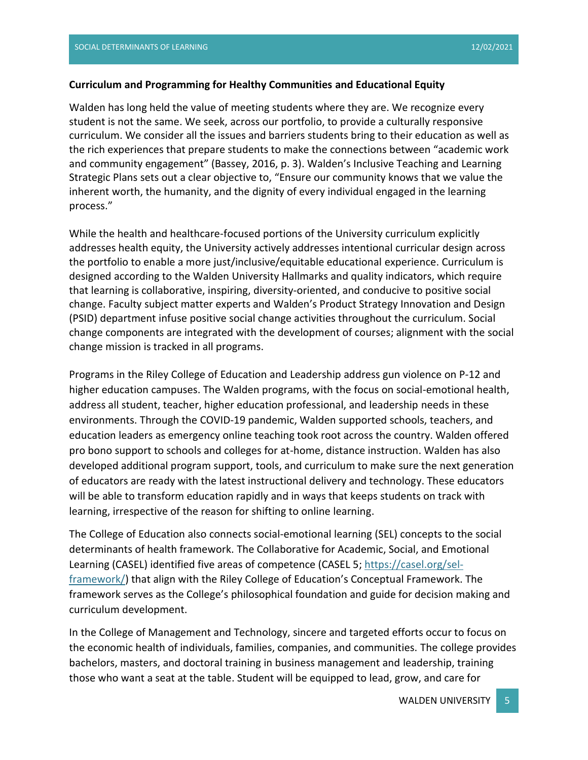#### **Curriculum and Programming for Healthy Communities and Educational Equity**

Walden has long held the value of meeting students where they are. We recognize every student is not the same. We seek, across our portfolio, to provide a culturally responsive curriculum. We consider all the issues and barriers students bring to their education as well as the rich experiences that prepare students to make the connections between "academic work and community engagement" (Bassey, 2016, p. 3). Walden's Inclusive Teaching and Learning Strategic Plans sets out a clear objective to, "Ensure our community knows that we value the inherent worth, the humanity, and the dignity of every individual engaged in the learning process."

While the health and healthcare-focused portions of the University curriculum explicitly addresses health equity, the University actively addresses intentional curricular design across the portfolio to enable a more just/inclusive/equitable educational experience. Curriculum is designed according to the Walden University Hallmarks and quality indicators, which require that learning is collaborative, inspiring, diversity-oriented, and conducive to positive social change. Faculty subject matter experts and Walden's Product Strategy Innovation and Design (PSID) department infuse positive social change activities throughout the curriculum. Social change components are integrated with the development of courses; alignment with the social change mission is tracked in all programs.

Programs in the Riley College of Education and Leadership address gun violence on P-12 and higher education campuses. The Walden programs, with the focus on social-emotional health, address all student, teacher, higher education professional, and leadership needs in these environments. Through the COVID-19 pandemic, Walden supported schools, teachers, and education leaders as emergency online teaching took root across the country. Walden offered pro bono support to schools and colleges for at-home, distance instruction. Walden has also developed additional program support, tools, and curriculum to make sure the next generation of educators are ready with the latest instructional delivery and technology. These educators will be able to transform education rapidly and in ways that keeps students on track with learning, irrespective of the reason for shifting to online learning.

The College of Education also connects social-emotional learning (SEL) concepts to the social determinants of health framework. The Collaborative for Academic, Social, and Emotional Learning (CASEL) identified five areas of competence (CASEL 5; [https://casel.org/sel](https://casel.org/sel-framework/)[framework/\)](https://casel.org/sel-framework/) that align with the Riley College of Education's Conceptual Framework. The framework serves as the College's philosophical foundation and guide for decision making and curriculum development.

In the College of Management and Technology, sincere and targeted efforts occur to focus on the economic health of individuals, families, companies, and communities. The college provides bachelors, masters, and doctoral training in business management and leadership, training those who want a seat at the table. Student will be equipped to lead, grow, and care for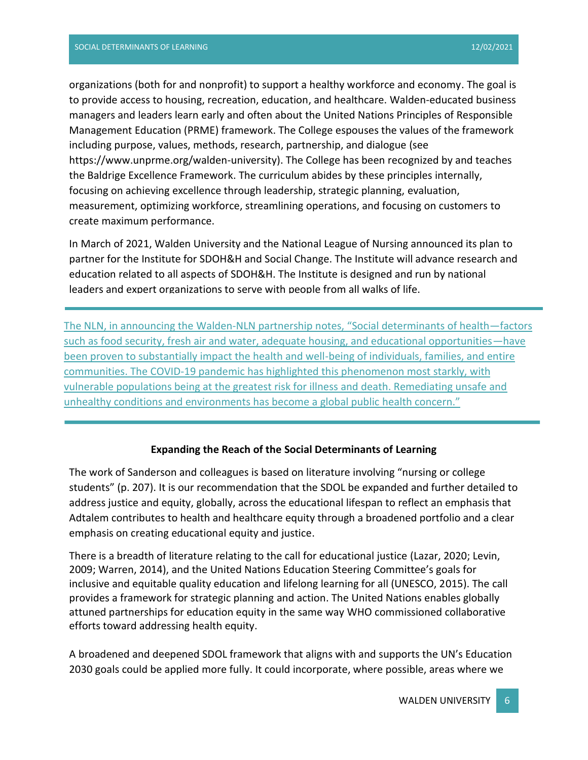organizations (both for and nonprofit) to support a healthy workforce and economy. The goal is to provide access to housing, recreation, education, and healthcare. Walden-educated business managers and leaders learn early and often about the United Nations Principles of Responsible Management Education (PRME) framework. The College espouses the values of the framework including purpose, values, methods, research, partnership, and dialogue (see https://www.unprme.org/walden-university). The College has been recognized by and teaches the Baldrige Excellence Framework. The curriculum abides by these principles internally, focusing on achieving excellence through leadership, strategic planning, evaluation, measurement, optimizing workforce, streamlining operations, and focusing on customers to create maximum performance.

In March of 2021, Walden University and the National League of Nursing announced its plan to partner for the Institute for SDOH&H and Social Change. The Institute will advance research and education related to all aspects of SDOH&H. The Institute is designed and run by national leaders and expert organizations to serve with people from all walks of life.

The NLN, in announcing the Walden-NLN partnership notes, "Social determinants of health—factors such as food security, fresh air and water, adequate housing, and educational opportunities—have been proven to substantially impact the health and well-being of individuals, families, and entire communities. The COVID-19 pandemic has highlighted this phenomenon most starkly, with vulnerable populations being at the greatest risk for illness and death. Remediating unsafe and unhealthy conditions and environments has become a global public health concern."

#### **Expanding the Reach of the Social Determinants of Learning**

The work of Sanderson and colleagues is based on literature involving "nursing or college students" (p. 207). It is our recommendation that the SDOL be expanded and further detailed to address justice and equity, globally, across the educational lifespan to reflect an emphasis that Adtalem contributes to health and healthcare equity through a broadened portfolio and a clear emphasis on creating educational equity and justice.

There is a breadth of literature relating to the call for educational justice (Lazar, 2020; Levin, 2009; Warren, 2014), and the United Nations Education Steering Committee's goals for inclusive and equitable quality education and lifelong learning for all (UNESCO, 2015). The call provides a framework for strategic planning and action. The United Nations enables globally attuned partnerships for education equity in the same way WHO commissioned collaborative efforts toward addressing health equity.

A broadened and deepened SDOL framework that aligns with and supports the UN's Education 2030 goals could be applied more fully. It could incorporate, where possible, areas where we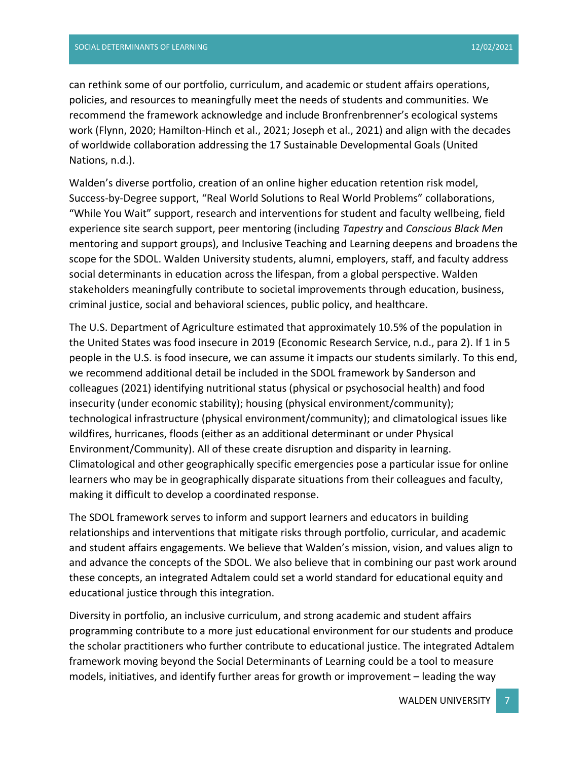can rethink some of our portfolio, curriculum, and academic or student affairs operations, policies, and resources to meaningfully meet the needs of students and communities. We recommend the framework acknowledge and include Bronfrenbrenner's ecological systems work (Flynn, 2020; Hamilton-Hinch et al., 2021; Joseph et al., 2021) and align with the decades of worldwide collaboration addressing the 17 Sustainable Developmental Goals (United Nations, n.d.).

Walden's diverse portfolio, creation of an online higher education retention risk model, Success-by-Degree support, "Real World Solutions to Real World Problems" collaborations, "While You Wait" support, research and interventions for student and faculty wellbeing, field experience site search support, peer mentoring (including *Tapestry* and *Conscious Black Men* mentoring and support groups), and Inclusive Teaching and Learning deepens and broadens the scope for the SDOL. Walden University students, alumni, employers, staff, and faculty address social determinants in education across the lifespan, from a global perspective. Walden stakeholders meaningfully contribute to societal improvements through education, business, criminal justice, social and behavioral sciences, public policy, and healthcare.

The U.S. Department of Agriculture estimated that approximately 10.5% of the population in the United States was food insecure in 2019 (Economic Research Service, n.d., para 2). If 1 in 5 people in the U.S. is food insecure, we can assume it impacts our students similarly. To this end, we recommend additional detail be included in the SDOL framework by Sanderson and colleagues (2021) identifying nutritional status (physical or psychosocial health) and food insecurity (under economic stability); housing (physical environment/community); technological infrastructure (physical environment/community); and climatological issues like wildfires, hurricanes, floods (either as an additional determinant or under Physical Environment/Community). All of these create disruption and disparity in learning. Climatological and other geographically specific emergencies pose a particular issue for online learners who may be in geographically disparate situations from their colleagues and faculty, making it difficult to develop a coordinated response.

The SDOL framework serves to inform and support learners and educators in building relationships and interventions that mitigate risks through portfolio, curricular, and academic and student affairs engagements. We believe that Walden's mission, vision, and values align to and advance the concepts of the SDOL. We also believe that in combining our past work around these concepts, an integrated Adtalem could set a world standard for educational equity and educational justice through this integration.

Diversity in portfolio, an inclusive curriculum, and strong academic and student affairs programming contribute to a more just educational environment for our students and produce the scholar practitioners who further contribute to educational justice. The integrated Adtalem framework moving beyond the Social Determinants of Learning could be a tool to measure models, initiatives, and identify further areas for growth or improvement – leading the way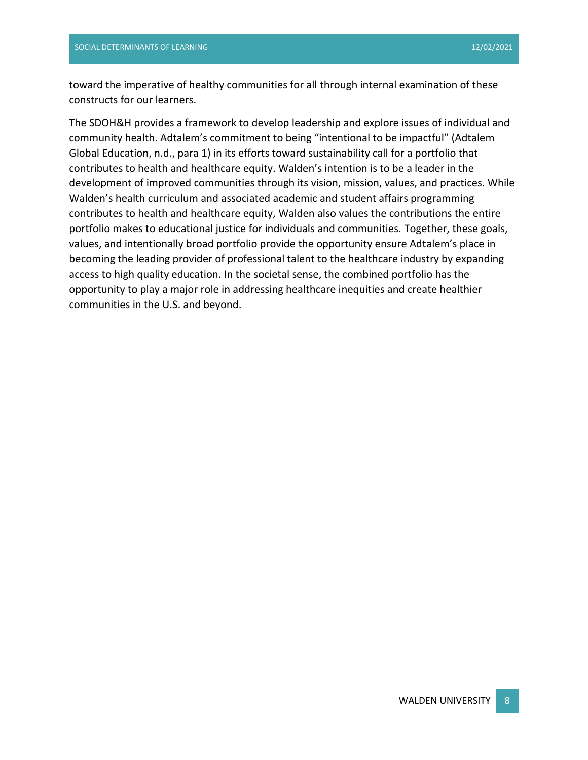toward the imperative of healthy communities for all through internal examination of these constructs for our learners.

The SDOH&H provides a framework to develop leadership and explore issues of individual and community health. Adtalem's commitment to being "intentional to be impactful" (Adtalem Global Education, n.d., para 1) in its efforts toward sustainability call for a portfolio that contributes to health and healthcare equity. Walden's intention is to be a leader in the development of improved communities through its vision, mission, values, and practices. While Walden's health curriculum and associated academic and student affairs programming contributes to health and healthcare equity, Walden also values the contributions the entire portfolio makes to educational justice for individuals and communities. Together, these goals, values, and intentionally broad portfolio provide the opportunity ensure Adtalem's place in becoming the leading provider of professional talent to the healthcare industry by expanding access to high quality education. In the societal sense, the combined portfolio has the opportunity to play a major role in addressing healthcare inequities and create healthier communities in the U.S. and beyond.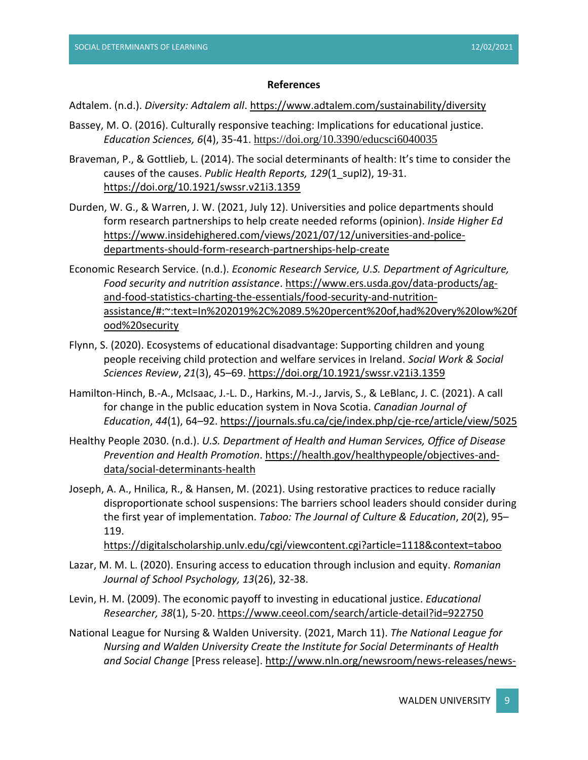#### **References**

#### Adtalem. (n.d.). *Diversity: Adtalem all*.<https://www.adtalem.com/sustainability/diversity>

- Bassey, M. O. (2016). Culturally responsive teaching: Implications for educational justice. *Education Sciences, 6*(4), 35-41. <https://doi.org/10.3390/educsci6040035>
- Braveman, P., & Gottlieb, L. (2014). The social determinants of health: It's time to consider the causes of the causes. *Public Health Reports, 129*(1\_supl2), 19-31. [https://doi.org/10.1921/swssr.v21i3.1359](https://doi-org.ezp.waldenulibrary.org/10.1921/swssr.v21i3.1359)
- Durden, W. G., & Warren, J. W. (2021, July 12). Universities and police departments should form research partnerships to help create needed reforms (opinion). *Inside Higher Ed* [https://www.insidehighered.com/views/2021/07/12/universities-and-police](https://www.insidehighered.com/views/2021/07/12/universities-and-police-departments-should-form-research-partnerships-help-create)[departments-should-form-research-partnerships-help-create](https://www.insidehighered.com/views/2021/07/12/universities-and-police-departments-should-form-research-partnerships-help-create)
- Economic Research Service. (n.d.). *Economic Research Service, U.S. Department of Agriculture, Food security and nutrition assistance*. [https://www.ers.usda.gov/data-products/ag](https://www.ers.usda.gov/data-products/ag-and-food-statistics-charting-the-essentials/food-security-and-nutrition-assistance/#:~:text=In%202019%2C%2089.5%20percent%20of,had%20very%20low%20food%20security)[and-food-statistics-charting-the-essentials/food-security-and-nutrition](https://www.ers.usda.gov/data-products/ag-and-food-statistics-charting-the-essentials/food-security-and-nutrition-assistance/#:~:text=In%202019%2C%2089.5%20percent%20of,had%20very%20low%20food%20security)[assistance/#:~:text=In%202019%2C%2089.5%20percent%20of,had%20very%20low%20f](https://www.ers.usda.gov/data-products/ag-and-food-statistics-charting-the-essentials/food-security-and-nutrition-assistance/#:~:text=In%202019%2C%2089.5%20percent%20of,had%20very%20low%20food%20security) [ood%20security](https://www.ers.usda.gov/data-products/ag-and-food-statistics-charting-the-essentials/food-security-and-nutrition-assistance/#:~:text=In%202019%2C%2089.5%20percent%20of,had%20very%20low%20food%20security)
- Flynn, S. (2020). Ecosystems of educational disadvantage: Supporting children and young people receiving child protection and welfare services in Ireland. *Social Work & Social Sciences Review*, *21*(3), 45–69.<https://doi.org/10.1921/swssr.v21i3.1359>
- Hamilton-Hinch, B.-A., McIsaac, J.-L. D., Harkins, M.-J., Jarvis, S., & LeBlanc, J. C. (2021). A call for change in the public education system in Nova Scotia. *Canadian Journal of Education*, *44*(1), 64–92. <https://journals.sfu.ca/cje/index.php/cje-rce/article/view/5025>
- Healthy People 2030. (n.d.). *U.S. Department of Health and Human Services, Office of Disease Prevention and Health Promotion*. [https://health.gov/healthypeople/objectives-and](https://health.gov/healthypeople/objectives-and-data/social-determinants-health)[data/social-determinants-health](https://health.gov/healthypeople/objectives-and-data/social-determinants-health)
- Joseph, A. A., Hnilica, R., & Hansen, M. (2021). Using restorative practices to reduce racially disproportionate school suspensions: The barriers school leaders should consider during the first year of implementation. *Taboo: The Journal of Culture & Education*, *20*(2), 95– 119.

<https://digitalscholarship.unlv.edu/cgi/viewcontent.cgi?article=1118&context=taboo>

- Lazar, M. M. L. (2020). Ensuring access to education through inclusion and equity. *Romanian Journal of School Psychology, 13*(26), 32-38.
- Levin, H. M. (2009). The economic payoff to investing in educational justice. *Educational Researcher, 38*(1), 5-20. <https://www.ceeol.com/search/article-detail?id=922750>
- National League for Nursing & Walden University. (2021, March 11). *The National League for Nursing and Walden University Create the Institute for Social Determinants of Health and Social Change* [Press release]. [http://www.nln.org/newsroom/news-releases/news-](http://www.nln.org/newsroom/news-releases/news-release/2021/03/11/the-national-league-for-nursing-and-walden-university-create-the-institute-for-social-determinants-of-health-and-social-change)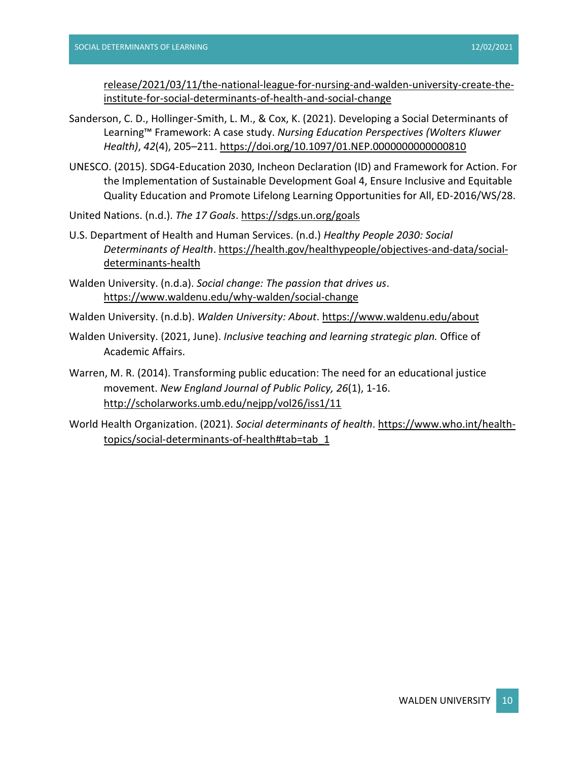[release/2021/03/11/the-national-league-for-nursing-and-walden-university-create-the](http://www.nln.org/newsroom/news-releases/news-release/2021/03/11/the-national-league-for-nursing-and-walden-university-create-the-institute-for-social-determinants-of-health-and-social-change)[institute-for-social-determinants-of-health-and-social-change](http://www.nln.org/newsroom/news-releases/news-release/2021/03/11/the-national-league-for-nursing-and-walden-university-create-the-institute-for-social-determinants-of-health-and-social-change)

- Sanderson, C. D., Hollinger-Smith, L. M., & Cox, K. (2021). Developing a Social Determinants of Learning™ Framework: A case study. *Nursing Education Perspectives (Wolters Kluwer Health)*, *42*(4), 205–211. [https://doi.org/10.1097/01.NEP.0000000000000810](https://doi-org.ezp.waldenulibrary.org/10.1097/01.NEP.0000000000000810)
- UNESCO. (2015). SDG4-Education 2030, Incheon Declaration (ID) and Framework for Action. For the Implementation of Sustainable Development Goal 4, Ensure Inclusive and Equitable Quality Education and Promote Lifelong Learning Opportunities for All, ED-2016/WS/28.

United Nations. (n.d.). *The 17 Goals*.<https://sdgs.un.org/goals>

- U.S. Department of Health and Human Services. (n.d.) *Healthy People 2030: Social Determinants of Health*[. https://health.gov/healthypeople/](https://health.gov/healthypeople)objectives-and-data/socialdeterminants-health
- Walden University. (n.d.a). *Social change: The passion that drives us*. <https://www.waldenu.edu/why-walden/social-change>

Walden University. (n.d.b). *Walden University: About*.<https://www.waldenu.edu/about>

- Walden University. (2021, June). *Inclusive teaching and learning strategic plan.* Office of Academic Affairs.
- Warren, M. R. (2014). Transforming public education: The need for an educational justice movement. *New England Journal of Public Policy, 26*(1), 1-16. <http://scholarworks.umb.edu/nejpp/vol26/iss1/11>
- World Health Organization. (2021). *Social determinants of health*[. https://www.who.int/health](https://www.who.int/health-topics/social-determinants-of-health#tab=tab_1)[topics/social-determinants-of-health#tab=tab\\_1](https://www.who.int/health-topics/social-determinants-of-health#tab=tab_1)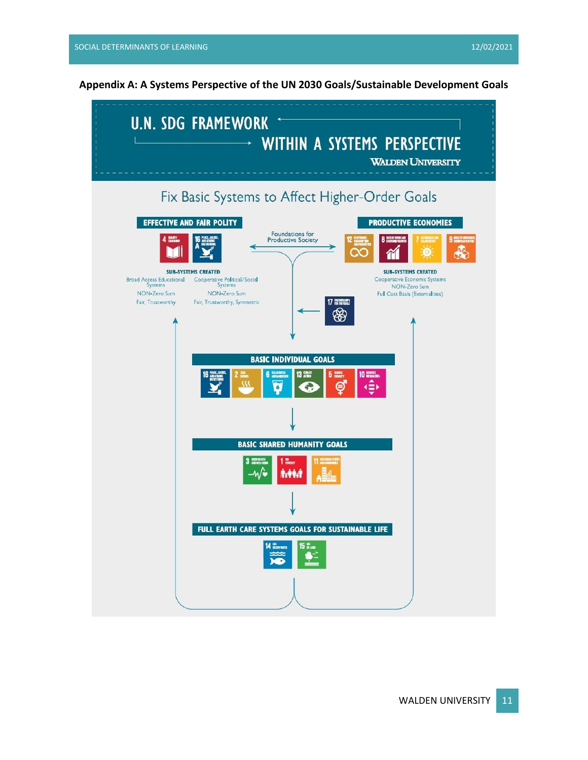**Appendix A: A Systems Perspective of the UN 2030 Goals/Sustainable Development Goals**

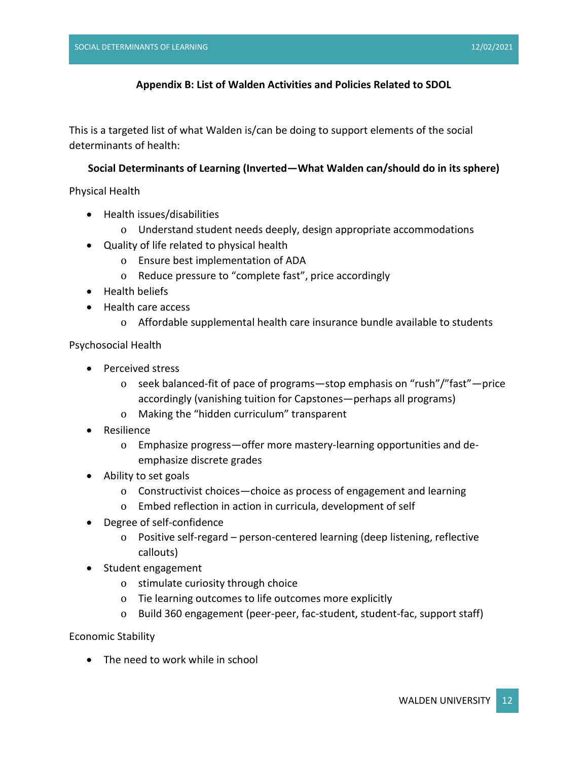#### **Appendix B: List of Walden Activities and Policies Related to SDOL**

This is a targeted list of what Walden is/can be doing to support elements of the social determinants of health:

#### **Social Determinants of Learning (Inverted—What Walden can/should do in its sphere)**

Physical Health

- Health issues/disabilities
	- o Understand student needs deeply, design appropriate accommodations
- Quality of life related to physical health
	- o Ensure best implementation of ADA
	- o Reduce pressure to "complete fast", price accordingly
- Health beliefs
- Health care access
	- o Affordable supplemental health care insurance bundle available to students

Psychosocial Health

- Perceived stress
	- o seek balanced-fit of pace of programs—stop emphasis on "rush"/"fast"—price accordingly (vanishing tuition for Capstones—perhaps all programs)
	- o Making the "hidden curriculum" transparent
- Resilience
	- o Emphasize progress—offer more mastery-learning opportunities and deemphasize discrete grades
- Ability to set goals
	- o Constructivist choices—choice as process of engagement and learning
	- o Embed reflection in action in curricula, development of self
- Degree of self-confidence
	- o Positive self-regard person-centered learning (deep listening, reflective callouts)
- Student engagement
	- o stimulate curiosity through choice
	- o Tie learning outcomes to life outcomes more explicitly
	- o Build 360 engagement (peer-peer, fac-student, student-fac, support staff)

Economic Stability

• The need to work while in school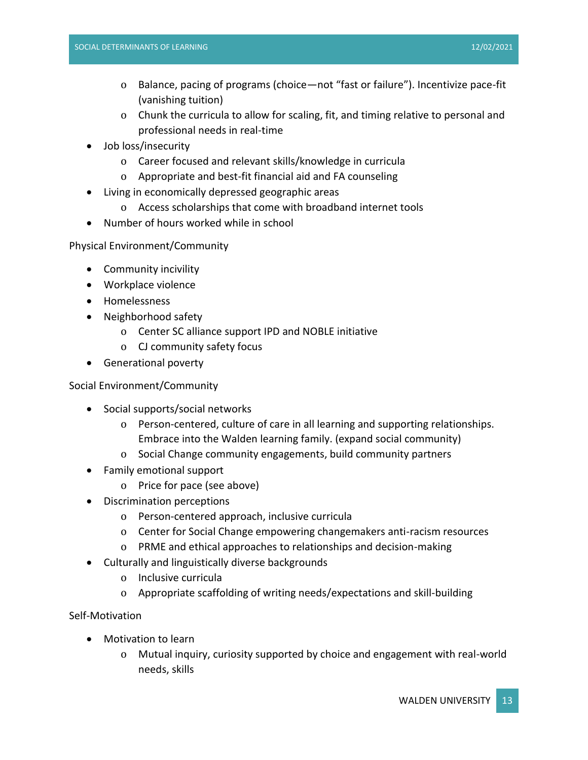- o Balance, pacing of programs (choice—not "fast or failure"). Incentivize pace-fit (vanishing tuition)
- o Chunk the curricula to allow for scaling, fit, and timing relative to personal and professional needs in real-time
- Job loss/insecurity
	- o Career focused and relevant skills/knowledge in curricula
	- o Appropriate and best-fit financial aid and FA counseling
- Living in economically depressed geographic areas
	- o Access scholarships that come with broadband internet tools
- Number of hours worked while in school

Physical Environment/Community

- Community incivility
- Workplace violence
- Homelessness
- Neighborhood safety
	- o Center SC alliance support IPD and NOBLE initiative
	- o CJ community safety focus
- Generational poverty

#### Social Environment/Community

- Social supports/social networks
	- o Person-centered, culture of care in all learning and supporting relationships. Embrace into the Walden learning family. (expand social community)
	- o Social Change community engagements, build community partners
- Family emotional support
	- o Price for pace (see above)
- Discrimination perceptions
	- o Person-centered approach, inclusive curricula
	- o Center for Social Change empowering changemakers anti-racism resources
	- o PRME and ethical approaches to relationships and decision-making
- Culturally and linguistically diverse backgrounds
	- o Inclusive curricula
	- o Appropriate scaffolding of writing needs/expectations and skill-building

Self-Motivation

- Motivation to learn
	- o Mutual inquiry, curiosity supported by choice and engagement with real-world needs, skills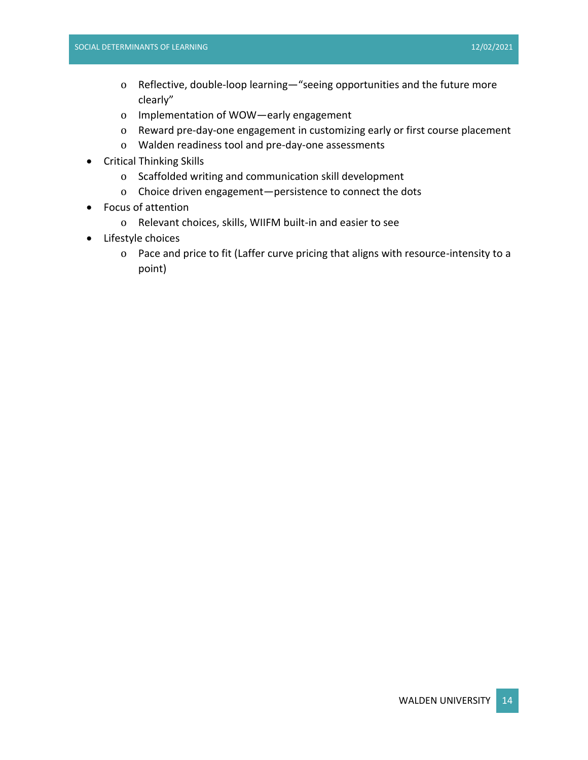- o Reflective, double-loop learning—"seeing opportunities and the future more clearly"
- o Implementation of WOW—early engagement
- o Reward pre-day-one engagement in customizing early or first course placement
- o Walden readiness tool and pre-day-one assessments
- Critical Thinking Skills
	- o Scaffolded writing and communication skill development
	- o Choice driven engagement—persistence to connect the dots
- Focus of attention
	- o Relevant choices, skills, WIIFM built-in and easier to see
- Lifestyle choices
	- o Pace and price to fit (Laffer curve pricing that aligns with resource-intensity to a point)